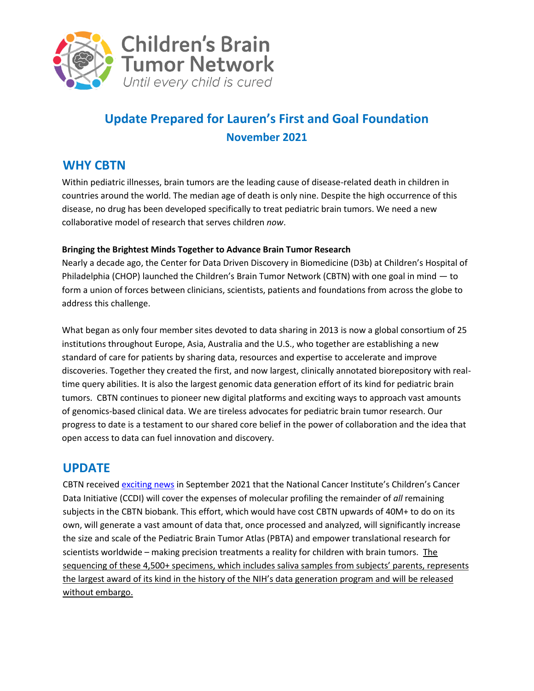

# **Update Prepared for Lauren's First and Goal Foundation November 2021**

### **WHY CBTN**

Within pediatric illnesses, brain tumors are the leading cause of disease-related death in children in countries around the world. The median age of death is only nine. Despite the high occurrence of this disease, no drug has been developed specifically to treat pediatric brain tumors. We need a new collaborative model of research that serves children *now*.

#### **Bringing the Brightest Minds Together to Advance Brain Tumor Research**

Nearly a decade ago, the Center for Data Driven Discovery in Biomedicine (D3b) at Children's Hospital of Philadelphia (CHOP) launched the Children's Brain Tumor Network (CBTN) with one goal in mind — to form a union of forces between clinicians, scientists, patients and foundations from across the globe to address this challenge.

What began as only four member sites devoted to data sharing in 2013 is now a global consortium of 25 institutions throughout Europe, Asia, Australia and the U.S., who together are establishing a new standard of care for patients by sharing data, resources and expertise to accelerate and improve discoveries. Together they created the first, and now largest, clinically annotated biorepository with realtime query abilities. It is also the largest genomic data generation effort of its kind for pediatric brain tumors. CBTN continues to pioneer new digital platforms and exciting ways to approach vast amounts of genomics-based clinical data. We are tireless advocates for pediatric brain tumor research. Our progress to date is a testament to our shared core belief in the power of collaboration and the idea that open access to data can fuel innovation and discovery.

### **UPDATE**

CBTN receive[d exciting news](https://www.chop.edu/news/chop-led-pediatric-hospital-network-receives-critical-government-support-genetic-research) in September 2021 that the National Cancer Institute's Children's Cancer Data Initiative (CCDI) will cover the expenses of molecular profiling the remainder of *all* remaining subjects in the CBTN biobank. This effort, which would have cost CBTN upwards of 40M+ to do on its own, will generate a vast amount of data that, once processed and analyzed, will significantly increase the size and scale of the Pediatric Brain Tumor Atlas (PBTA) and empower translational research for scientists worldwide – making precision treatments a reality for children with brain tumors. The sequencing of these 4,500+ specimens, which includes saliva samples from subjects' parents, represents the largest award of its kind in the history of the NIH's data generation program and will be released without embargo.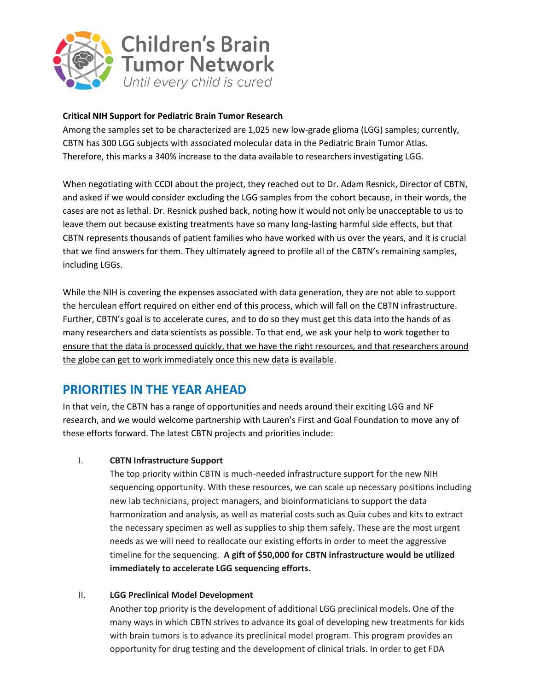

#### **Critical NIH Support for Pediatric Brain Tumor Research**

Among the samples set to be characterized are 1,025 new low-grade glioma (LGG) samples; currently, CBTN has 300 LGG subjects with associated molecular data in the Pediatric Brain Tumor Atlas. Therefore, this marks a 340% increase to the data available to researchers investigating LGG.

When negotiating with CCDI about the project, they reached out to Dr. Adam Resnick, Director of CBTN, and asked if we would consider excluding the LGG samples from the cohort because, in their words, the cases are not as lethal. Dr. Resnick pushed back, noting how it would not only be unacceptable to us to leave them out because existing treatments have so many long-lasting harmful side effects, but that CBTN represents thousands of patient families who have worked with us over the years, and it is crucial that we find answers for them. They ultimately agreed to profile all of the CBTN's remaining samples, including LGGs.

While the NIH is covering the expenses associated with data generation, they are not able to support the herculean effort required on either end of this process, which will fall on the CBTN infrastructure. Further, CBTN's goal is to accelerate cures, and to do so they must get this data into the hands of as many researchers and data scientists as possible. To that end, we ask your help to work together to ensure that the data is processed quickly, that we have the right resources, and that researchers around the globe can get to work immediately once this new data is available.

### **PRIORITIES IN THE YEAR AHEAD**

In that vein, the CBTN has a range of opportunities and needs around their exciting LGG and NF research, and we would welcome partnership with Lauren's First and Goal Foundation to move any of these efforts forward. The latest CBTN projects and priorities include:

#### I. **CBTN Infrastructure Support**

The top priority within CBTN is much-needed infrastructure support for the new NIH sequencing opportunity. With these resources, we can scale up necessary positions including new lab technicians, project managers, and bioinformaticians to support the data harmonization and analysis, as well as material costs such as Quia cubes and kits to extract the necessary specimen as well as supplies to ship them safely. These are the most urgent needs as we will need to reallocate our existing efforts in order to meet the aggressive timeline for the sequencing. **A gift of \$50,000 for CBTN infrastructure would be utilized immediately to accelerate LGG sequencing efforts.**

#### II. **LGG Preclinical Model Development**

Another top priority is the development of additional LGG preclinical models. One of the many ways in which CBTN strives to advance its goal of developing new treatments for kids with brain tumors is to advance its preclinical model program. This program provides an opportunity for drug testing and the development of clinical trials. In order to get FDA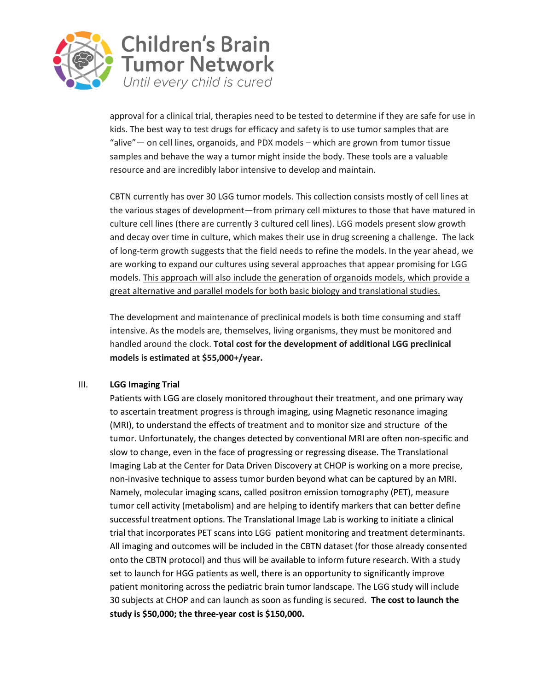

approval for a clinical trial, therapies need to be tested to determine if they are safe for use in kids. The best way to test drugs for efficacy and safety is to use tumor samples that are "alive"— on cell lines, organoids, and PDX models – which are grown from tumor tissue samples and behave the way a tumor might inside the body. These tools are a valuable resource and are incredibly labor intensive to develop and maintain.

CBTN currently has over 30 LGG tumor models. This collection consists mostly of cell lines at the various stages of development—from primary cell mixtures to those that have matured in culture cell lines (there are currently 3 cultured cell lines). LGG models present slow growth and decay over time in culture, which makes their use in drug screening a challenge. The lack of long-term growth suggests that the field needs to refine the models. In the year ahead, we are working to expand our cultures using several approaches that appear promising for LGG models. This approach will also include the generation of organoids models, which provide a great alternative and parallel models for both basic biology and translational studies.

The development and maintenance of preclinical models is both time consuming and staff intensive. As the models are, themselves, living organisms, they must be monitored and handled around the clock. **Total cost for the development of additional LGG preclinical models is estimated at \$55,000+/year.**

#### III. **LGG Imaging Trial**

Patients with LGG are closely monitored throughout their treatment, and one primary way to ascertain treatment progress is through imaging, using Magnetic resonance imaging (MRI), to understand the effects of treatment and to monitor size and structure of the tumor. Unfortunately, the changes detected by conventional MRI are often non-specific and slow to change, even in the face of progressing or regressing disease. The Translational Imaging Lab at the Center for Data Driven Discovery at CHOP is working on a more precise, non-invasive technique to assess tumor burden beyond what can be captured by an MRI. Namely, molecular imaging scans, called positron emission tomography (PET), measure tumor cell activity (metabolism) and are helping to identify markers that can better define successful treatment options. The Translational Image Lab is working to initiate a clinical trial that incorporates PET scans into LGG patient monitoring and treatment determinants. All imaging and outcomes will be included in the CBTN dataset (for those already consented onto the CBTN protocol) and thus will be available to inform future research. With a study set to launch for HGG patients as well, there is an opportunity to significantly improve patient monitoring across the pediatric brain tumor landscape. The LGG study will include 30 subjects at CHOP and can launch as soon as funding is secured. **The cost to launch the study is \$50,000; the three-year cost is \$150,000.**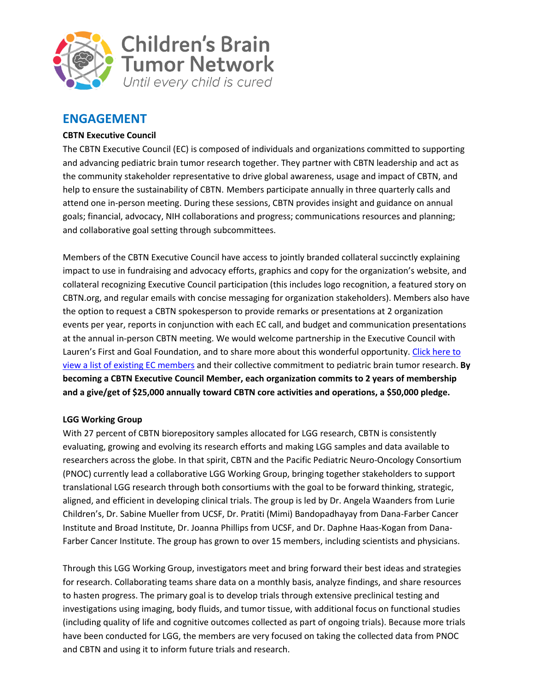

### **ENGAGEMENT**

#### **CBTN Executive Council**

The CBTN Executive Council (EC) is composed of individuals and organizations committed to supporting and advancing pediatric brain tumor research together. They partner with CBTN leadership and act as the community stakeholder representative to drive global awareness, usage and impact of CBTN, and help to ensure the sustainability of CBTN. Members participate annually in three quarterly calls and attend one in-person meeting. During these sessions, CBTN provides insight and guidance on annual goals; financial, advocacy, NIH collaborations and progress; communications resources and planning; and collaborative goal setting through subcommittees.

Members of the CBTN Executive Council have access to jointly branded collateral succinctly explaining impact to use in fundraising and advocacy efforts, graphics and copy for the organization's website, and collateral recognizing Executive Council participation (this includes logo recognition, a featured story on CBTN.org, and regular emails with concise messaging for organization stakeholders). Members also have the option to request a CBTN spokesperson to provide remarks or presentations at 2 organization events per year, reports in conjunction with each EC call, and budget and communication presentations at the annual in-person CBTN meeting. We would welcome partnership in the Executive Council with Lauren's First and Goal Foundation, and to share more about this wonderful opportunity. [Click here to](https://cbtn.org/partnerships) view [a list of existing EC members](https://cbtn.org/partnerships) and their collective commitment to pediatric brain tumor research. **By becoming a CBTN Executive Council Member, each organization commits to 2 years of membership and a give/get of \$25,000 annually toward CBTN core activities and operations, a \$50,000 pledge.**

#### **LGG Working Group**

With 27 percent of CBTN biorepository samples allocated for LGG research, CBTN is consistently evaluating, growing and evolving its research efforts and making LGG samples and data available to researchers across the globe. In that spirit, CBTN and the Pacific Pediatric Neuro-Oncology Consortium (PNOC) currently lead a collaborative LGG Working Group, bringing together stakeholders to support translational LGG research through both consortiums with the goal to be forward thinking, strategic, aligned, and efficient in developing clinical trials. The group is led by Dr. Angela Waanders from Lurie Children's, Dr. Sabine Mueller from UCSF, Dr. Pratiti (Mimi) Bandopadhayay from Dana-Farber Cancer Institute and Broad Institute, Dr. Joanna Phillips from UCSF, and Dr. Daphne Haas-Kogan from Dana-Farber Cancer Institute. The group has grown to over 15 members, including scientists and physicians.

Through this LGG Working Group, investigators meet and bring forward their best ideas and strategies for research. Collaborating teams share data on a monthly basis, analyze findings, and share resources to hasten progress. The primary goal is to develop trials through extensive preclinical testing and investigations using imaging, body fluids, and tumor tissue, with additional focus on functional studies (including quality of life and cognitive outcomes collected as part of ongoing trials). Because more trials have been conducted for LGG, the members are very focused on taking the collected data from PNOC and CBTN and using it to inform future trials and research.